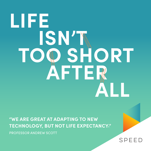# **LIFE ISN'T D SHORT AFTER ALL**

**"WE ARE GREAT AT ADAPTING TO NEW TECHNOLOGY, BUT NOT LIFE EXPECTANCY."** 

PROFESSOR ANDREW SCOTT

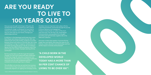Have you ever thought what living to 100 years old would be like? Does a long life fill you with a dread of working for longer or excitement at more time to achieve your dreams? How will longevity affect the way you work, plan for your future, manage your relationships and live?

A child born in the developed world today has a more than 50 per cent chance of living to be over 100\*, say Andrew Scott and Lynda Gratton, professors at London Business School and authors of The 100-Year Life: Living and Working in an Age of Longevity. Centenarians are the fastest growing age group in the UK, according to figures from the Office of National Statistics and in the past 30 years the number of people reaching 100 has quadrupled.

Marketers have an important role to play in this by supporting businesses and brands through this journey to ensure relevancy and engagement. Professor Andrew Scott, co-author of the mustread new book, The 100-Year Life, joined Speed Communications and panellists for a thoughtprovoking and optimistically insightful talk at the Wellcome Collection

But has society kept up with this huge demographic change? Our lives have traditionally been predicated by the three-stage life: education, employment and retirement. But with advances in technology, healthcare, and social care this well-established pathway is outdated and already beginning to collapse.

This will affect not only how we work but how business are run and how they communicate to ensure they are contextually aligned to an ageing and changing society. Discussion circled a key question: if we are all living longer than ever before, what does this mean for our finances, career, education and relationships and how will this impact on brands and businesses?

## **ARE YOU READY TO LIVE TO 100 YEARS OLD?**

**"A CHILD BORN IN THE DEVELOPED WORLD TODAY HAS A MORE THAN 50 PER CENT CHANCE OF LIVING TO BE OVER 100\* ".**

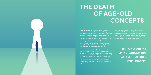## **THE DEATH OF AGE-OLD CONCEPTS**

Not only are we living longer, but we are healthier for longer, meaning that the 'old' concept of age, dictating which stage of life you're at and its traditional associated activities you should be engaging in, is becoming increasingly irrelevant. Our chronological age has become less of a guide as to who we are than ever before. If you are 21, we might previously presume you are starting out on a career, going to festivals, enjoying some disposable income or caring for the planet, but in the world of the 100-year life, this could be true of anyone, no matter what age they are.

Instead biological age (how healthy we are), subjective age (how old do we feel) and sociological age (how old does society view you) will be a much truer indication of people's stage in life. Essentially, 'age equals stage', will no longer exist. Instead we'll be living a multi-staged life with multiple careers, breaks and transitions. As technology takes over more jobs, new ones will be created. We'll be required to be flexible, responsive and experimental.

"The three-stage life that involves education, career and retirement will no longer apply for people with an increased life expectancy," Professor Scott says. "When reaching their 40s or 50s, people will consider changing careers or becoming entrepreneurs, because they will spend more years in work than their parents."

> **"NOT ONLY ARE WE LIVING LONGER, BUT WE ARE HEALTHIER FOR LONGER."**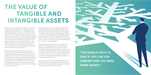Key is how our long life will be funded. Can we rely on investing in traditional financial safety nets such as savings, property and pension – the tangible assets of security? Well, yes, and also no. "The simple truth is that if you live for longer then you need more money," explains Professor Scott. For some this means investing more in pensions and for others (possibly the majority), this means working for longer. Many countries are in the painful process of raising retirement age – from 2019 the UK State Pension age will increase for both men and women to reach 66 by 2020 with further increases planned – but retirement age is not moving as fast as life expectancy is growing.

But it's not all about money. It's also important to understand how a life lived over 100 will impact on intangible assets that are grouped under productivity, vitality and transformation. "For most people, a good life would be one with a supportive family, great friends, strong skills and knowledge and good physical and mental health," asserts Professor Scott. "These are all intangible assets and it is not surprising they are as important as financial assets when it comes to building a productive long life"

Being productive at work (productive assets) due to skills and experience accrued within a career has a direct link to earning potential. Vitality assets include mental and physical health, relationships, friendships and family and are often equated to feelings of having a good life. Our transformational assets, the ability and confidence to face many transitions, are currently under-utilised in the traditional three-stage life but will be "crucial" in a multi-stage life.

All these intangible assets need to be invested in as diligently as tangible assets such as pensions and savings, say the authors. Due to their very nature, however, intangible assets are difficult to measure and so quantify in the marketplace. They are also long-term, irreversible transactions – you can buy or sell a house, for example, but you can't buy or sell a friendship or a career. One solution, explained Professor Scott, is to invest carefully at the outset.

Businesses and brands will eventually respond to the rising importance of intangible assets and this may prompt a rise of new services in helping us re-educate, re-evaluate and re-establish ourselves.

## **THE VALUE OF TANGIBLE AND INTANGIBLE ASSETS**

**"THE SIMPLE TRUTH IS THAT IF YOU LIVE FOR LONGER THEN YOU NEED MORE MONEY."** 

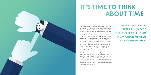Living longer means we have more time – a lot more time. "In countries doing well, life expectancy has been increased by 2.5 years per decade, 3 months per year, 6 hours per day," says Professor James Vampel of Max Planck Institute for Demographic Research, Germany.

Life isn't too short after all. In fact, those extra six hours a day could mean we live a 30-hour day, which would disrupt our daily routines. It could prompt a shift from three meals a day to five meals a day as our day elongates and working hours shift. These extra meals will have a huge impact on food service industries and leisure businesses who might need to disrupt their current commercial model to cope. Longevity is not necessarily about ageing in this context, but about having more time.

The 100-year life also throws a spotlight on what we will do with our productive hours; those hours that aren't weekends or down-time. If we live to 70 we have 120,000 productive hours, but living to 100 means we have over 200,000 productive hours. We may have to question how much we love our jobs and careers – do we want to work for nearly double the amount of time? Life isn't too short after all.



## **IT'S TIME TO THINK ABOUT TIME**

**"LIFE ISN'T TOO SHORT AFTER ALL. IN FACT, THOSE EXTRA SIX HOURS A DAY COULD MEAN WE LIVE A 30-HOUR DAY."**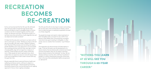So far, we have learned that the 100-year life will break down the long-held concept that age equals stage, that we will need to invest in intangible assets to nurture ourselves over the increased longevity and that, quite simply, we will have more time. The final focus then is, if we have more time and will live a multi-stage life, how will we adapt and recreate ourselves?

It's likely that the education we have in our teens will not serve us through our career. "Nothing you learn at 20 will see you through a 60-year career," explains Professor Scott. Business HR processes and recruiting will require greater flexibility and a new approach to accommodate new working practices and how they view age in terms of employability. Age will no longer be a measure of seniority. Career breaks and new careers will be the norm. Older people do tend to get paid more, which makes them an expensive resource and will require them to be more imaginative in their career choices half-way through their lives.

Brands, especially those in personal finance, health and wellbeing and leisure sectors, will have to adapt to a changing customer base – beauty brands are showing themselves ahead of the curve by ditching the anti-ageing approach in favour of pro-ageing campaigns.

The 100-year life will not only impact careers and working life, but also down-time and the leisure industry, whose focus to date has been on satisfying a population focused on a three-stage life.

"As people live longer and need to make investments in their intangible assets, we expect to see a shift in how leisure is used. Rather than consuming time, we expect more time to be spent investing in intangibles. In other words, more re-creation than recreation," says Professor Scott.

The implications for leisure brands of all descriptions is huge. "If the last 100 years saw the development of a leisure industry that privatised public entertainment based around consumption, then we can expect a growing leisure industry aimed at the individual," he says. We are already starting to see this with a shift from hundreds of people in a cinema watching the same film at the same time, to the rise of the individualistic Netflix and personal on-demand TV.

## **RECREATION BECOMES RE-CREATION**

**"NOTHING YOU LEARN AT 20 WILL SEE YOU THROUGH A 60-YEAR CAREER."**

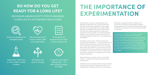This huge shift in society is unprecedented in our lifetimes. We will see the rise in new jobs and skills, the shift from the three-stage life to a multi-stage life, where chronological age will no longer dictate behaviour and ageing will be diverse. We currently talk about the sandwich generation, where three generations are living under one roof and holidaying together, but we could soon see the rise of the clubsandwich generation, where four or more generations live together.

The biggest shift, however, will be the importance placed on experimentation – we simply don't know yet what will work and what won't work in our 100-year life. For generation after generation, those who came before were role models for our own futures. This will no longer be the case, our parents' lives will not set the precedent for our long lives. Instead, we will find new role models, whether that is companies, governments, brands or individuals.

While the future is uncertain, what is not is that the change – for people, businesses and governments – will be seismic.

Marketers need to understand these changes and help businesses and brands to navigate the new ways of managing their employees and also how they position

themselves to support this shift in thinking. From recruitment and skills for all businesses, through to financial planning and health and wellness. We all need to shift they way we look at out lives and make changes for the future.

Andrew Scott is Professor of Economics at London Business School and a Fellow of the Centre for Economic Policy Research. He previously held positions at Harvard University, London School of Economics and All Souls, Oxford University. He has been an advisor to the House of Commons, the Bank of England, HM Treasury and Economic Advisor to the Prime Minister of Mauritius. He is currently on the advisory board of the UK's Office for Budget Responsibility and a member of the Cabinet Office Honours Committee (Science and Technology).

## **THE IMPORTANCE OF EXPERIMENTATION**

#### **SO HOW DO YOU GET READY FOR A LONG LIFE?**

PROFESSOR ANDREW SCOTT'S TIPS TO ENSURING A LONG LIFE IS A GIFT RATHER THAN A CURSE



Longevity is not about getting older – it's about being younger for longer



Audit your tangible and intangible assets



Use your free time to invest in fitness, skills and relationships

| K, |
|----|

Think about the experiences you want to have and plan for



Experiment. There are no role models or plans to follow



Be flexible and open to change